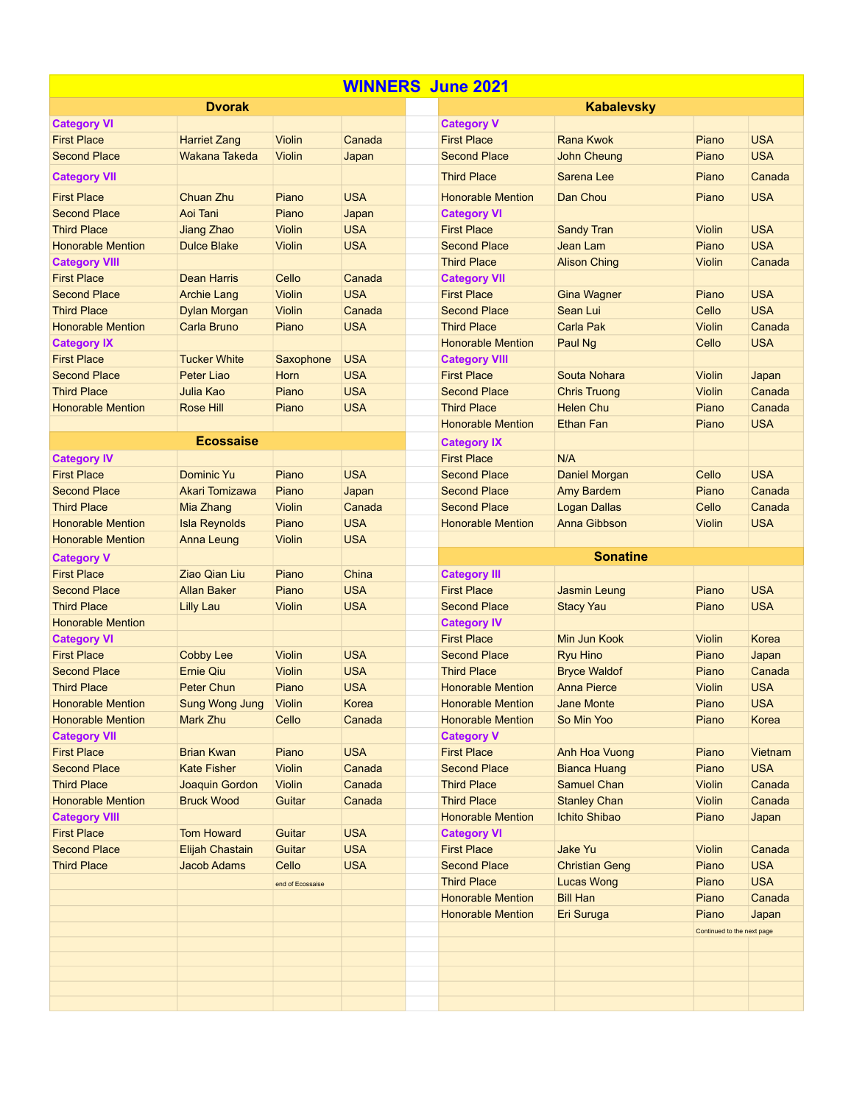| <b>WINNERS June 2021</b> |                       |                  |            |  |                          |                       |                            |            |  |  |  |
|--------------------------|-----------------------|------------------|------------|--|--------------------------|-----------------------|----------------------------|------------|--|--|--|
|                          | <b>Dvorak</b>         |                  |            |  |                          | <b>Kabalevsky</b>     |                            |            |  |  |  |
| <b>Category VI</b>       |                       |                  |            |  | <b>Category V</b>        |                       |                            |            |  |  |  |
| <b>First Place</b>       | <b>Harriet Zang</b>   | Violin           | Canada     |  | <b>First Place</b>       | <b>Rana Kwok</b>      | Piano                      | <b>USA</b> |  |  |  |
| <b>Second Place</b>      | Wakana Takeda         | <b>Violin</b>    | Japan      |  | <b>Second Place</b>      | <b>John Cheung</b>    | Piano                      | <b>USA</b> |  |  |  |
| <b>Category VII</b>      |                       |                  |            |  | <b>Third Place</b>       | Sarena Lee            | Piano                      | Canada     |  |  |  |
| <b>First Place</b>       | Chuan Zhu             | Piano            | <b>USA</b> |  | <b>Honorable Mention</b> | Dan Chou              | Piano                      | <b>USA</b> |  |  |  |
| <b>Second Place</b>      | Aoi Tani              | Piano            | Japan      |  | <b>Category VI</b>       |                       |                            |            |  |  |  |
| <b>Third Place</b>       | Jiang Zhao            | <b>Violin</b>    | <b>USA</b> |  | <b>First Place</b>       | <b>Sandy Tran</b>     | <b>Violin</b>              | <b>USA</b> |  |  |  |
| <b>Honorable Mention</b> | <b>Dulce Blake</b>    | <b>Violin</b>    | <b>USA</b> |  | <b>Second Place</b>      | Jean Lam              | Piano                      | <b>USA</b> |  |  |  |
| <b>Category VIII</b>     |                       |                  |            |  | <b>Third Place</b>       | <b>Alison Ching</b>   | <b>Violin</b>              | Canada     |  |  |  |
| <b>First Place</b>       | <b>Dean Harris</b>    | Cello            | Canada     |  | <b>Category VII</b>      |                       |                            |            |  |  |  |
| <b>Second Place</b>      | <b>Archie Lang</b>    | <b>Violin</b>    | <b>USA</b> |  | <b>First Place</b>       | <b>Gina Wagner</b>    | Piano                      | <b>USA</b> |  |  |  |
| <b>Third Place</b>       | <b>Dylan Morgan</b>   | <b>Violin</b>    | Canada     |  | <b>Second Place</b>      | Sean Lui              | Cello                      | <b>USA</b> |  |  |  |
| <b>Honorable Mention</b> | <b>Carla Bruno</b>    | Piano            | <b>USA</b> |  | <b>Third Place</b>       | Carla Pak             | <b>Violin</b>              | Canada     |  |  |  |
| <b>Category IX</b>       |                       |                  |            |  | <b>Honorable Mention</b> | Paul Ng               | Cello                      | <b>USA</b> |  |  |  |
| <b>First Place</b>       | <b>Tucker White</b>   | Saxophone        | <b>USA</b> |  | <b>Category VIII</b>     |                       |                            |            |  |  |  |
| <b>Second Place</b>      | Peter Liao            | Horn             | <b>USA</b> |  | <b>First Place</b>       | Souta Nohara          | <b>Violin</b>              | Japan      |  |  |  |
| <b>Third Place</b>       | Julia Kao             | Piano            | <b>USA</b> |  | <b>Second Place</b>      | <b>Chris Truong</b>   | <b>Violin</b>              | Canada     |  |  |  |
| <b>Honorable Mention</b> | Rose Hill             | Piano            | <b>USA</b> |  | <b>Third Place</b>       | <b>Helen Chu</b>      | Piano                      | Canada     |  |  |  |
|                          |                       |                  |            |  | <b>Honorable Mention</b> | <b>Ethan Fan</b>      | Piano                      | <b>USA</b> |  |  |  |
|                          | <b>Ecossaise</b>      |                  |            |  | <b>Category IX</b>       |                       |                            |            |  |  |  |
| <b>Category IV</b>       |                       |                  |            |  | <b>First Place</b>       | N/A                   |                            |            |  |  |  |
| <b>First Place</b>       | <b>Dominic Yu</b>     | Piano            | <b>USA</b> |  | <b>Second Place</b>      | Daniel Morgan         | Cello                      | <b>USA</b> |  |  |  |
| <b>Second Place</b>      | Akari Tomizawa        | Piano            | Japan      |  | <b>Second Place</b>      | Amy Bardem            | Piano                      | Canada     |  |  |  |
| <b>Third Place</b>       | Mia Zhang             | <b>Violin</b>    | Canada     |  | <b>Second Place</b>      | <b>Logan Dallas</b>   | Cello                      | Canada     |  |  |  |
| <b>Honorable Mention</b> | <b>Isla Reynolds</b>  | Piano            | <b>USA</b> |  | <b>Honorable Mention</b> | Anna Gibbson          | <b>Violin</b>              | <b>USA</b> |  |  |  |
| <b>Honorable Mention</b> | Anna Leung            | <b>Violin</b>    | <b>USA</b> |  |                          |                       |                            |            |  |  |  |
|                          |                       |                  |            |  |                          |                       |                            |            |  |  |  |
| <b>Category V</b>        |                       |                  |            |  |                          | <b>Sonatine</b>       |                            |            |  |  |  |
| <b>First Place</b>       | <b>Ziao Qian Liu</b>  | Piano            | China      |  | <b>Category III</b>      |                       |                            |            |  |  |  |
| <b>Second Place</b>      | <b>Allan Baker</b>    | Piano            | <b>USA</b> |  | <b>First Place</b>       | <b>Jasmin Leung</b>   | Piano                      | <b>USA</b> |  |  |  |
| <b>Third Place</b>       | <b>Lilly Lau</b>      | <b>Violin</b>    | <b>USA</b> |  | <b>Second Place</b>      | <b>Stacy Yau</b>      | Piano                      | <b>USA</b> |  |  |  |
| <b>Honorable Mention</b> |                       |                  |            |  | <b>Category IV</b>       |                       |                            |            |  |  |  |
| <b>Category VI</b>       |                       |                  |            |  | <b>First Place</b>       | Min Jun Kook          | <b>Violin</b>              | Korea      |  |  |  |
| <b>First Place</b>       | <b>Cobby Lee</b>      | <b>Violin</b>    | <b>USA</b> |  | <b>Second Place</b>      | <b>Ryu Hino</b>       | Piano                      | Japan      |  |  |  |
| <b>Second Place</b>      | <b>Ernie Qiu</b>      | <b>Violin</b>    | <b>USA</b> |  | <b>Third Place</b>       | <b>Bryce Waldof</b>   | Piano                      | Canada     |  |  |  |
| <b>Third Place</b>       | Peter Chun            | Piano            | <b>USA</b> |  | <b>Honorable Mention</b> | <b>Anna Pierce</b>    | <b>Violin</b>              | <b>USA</b> |  |  |  |
| <b>Honorable Mention</b> | <b>Sung Wong Jung</b> | Violin           | Korea      |  | <b>Honorable Mention</b> | <b>Jane Monte</b>     | Piano                      | <b>USA</b> |  |  |  |
| <b>Honorable Mention</b> | Mark Zhu              | Cello            | Canada     |  | <b>Honorable Mention</b> | So Min Yoo            | Piano                      | Korea      |  |  |  |
| <b>Category VII</b>      |                       |                  |            |  | <b>Category V</b>        |                       |                            |            |  |  |  |
| <b>First Place</b>       | <b>Brian Kwan</b>     | Piano            | <b>USA</b> |  | <b>First Place</b>       | Anh Hoa Vuong         | Piano                      | Vietnam    |  |  |  |
| <b>Second Place</b>      | <b>Kate Fisher</b>    | <b>Violin</b>    | Canada     |  | <b>Second Place</b>      | <b>Bianca Huang</b>   | Piano                      | <b>USA</b> |  |  |  |
| <b>Third Place</b>       | Joaquin Gordon        | <b>Violin</b>    | Canada     |  | <b>Third Place</b>       | <b>Samuel Chan</b>    | Violin                     | Canada     |  |  |  |
| <b>Honorable Mention</b> | <b>Bruck Wood</b>     | Guitar           | Canada     |  | <b>Third Place</b>       | <b>Stanley Chan</b>   | Violin                     | Canada     |  |  |  |
| <b>Category VIII</b>     |                       |                  |            |  | <b>Honorable Mention</b> | <b>Ichito Shibao</b>  | Piano                      | Japan      |  |  |  |
| <b>First Place</b>       | <b>Tom Howard</b>     | Guitar           | <b>USA</b> |  | <b>Category VI</b>       |                       |                            |            |  |  |  |
| <b>Second Place</b>      | Elijah Chastain       | Guitar           | <b>USA</b> |  | <b>First Place</b>       | Jake Yu               | Violin                     | Canada     |  |  |  |
| <b>Third Place</b>       | <b>Jacob Adams</b>    | Cello            | <b>USA</b> |  | <b>Second Place</b>      | <b>Christian Geng</b> | Piano                      | <b>USA</b> |  |  |  |
|                          |                       | end of Ecossaise |            |  | <b>Third Place</b>       | <b>Lucas Wong</b>     | Piano                      | <b>USA</b> |  |  |  |
|                          |                       |                  |            |  | <b>Honorable Mention</b> | <b>Bill Han</b>       | Piano                      | Canada     |  |  |  |
|                          |                       |                  |            |  | <b>Honorable Mention</b> | Eri Suruga            | Piano                      | Japan      |  |  |  |
|                          |                       |                  |            |  |                          |                       | Continued to the next page |            |  |  |  |
|                          |                       |                  |            |  |                          |                       |                            |            |  |  |  |
|                          |                       |                  |            |  |                          |                       |                            |            |  |  |  |
|                          |                       |                  |            |  |                          |                       |                            |            |  |  |  |